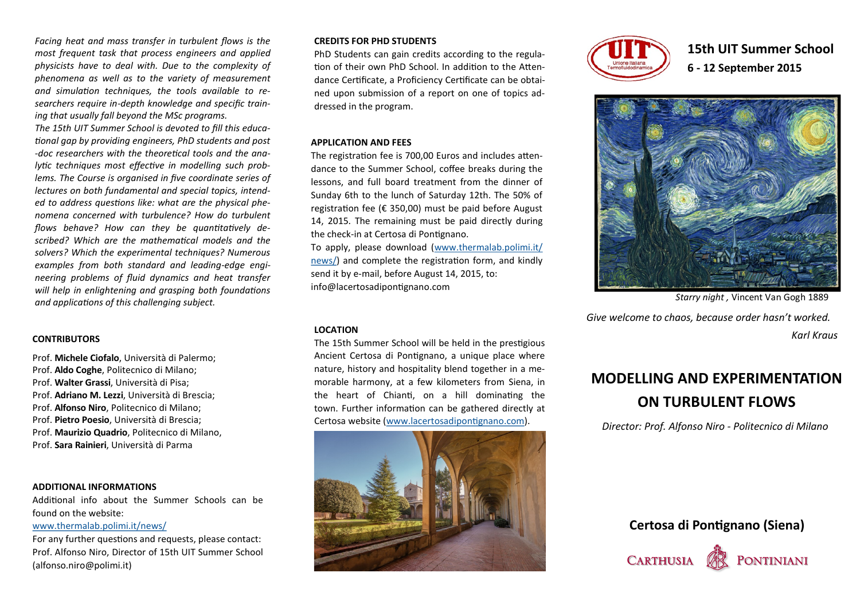*Facing heat and mass transfer in turbulent flows is the most frequent task that process engineers and applied physicists have to deal with. Due to the complexity of phenomena as well as to the variety of measurement and simulation techniques, the tools available to researchers require in-depth knowledge and specific training that usually fall beyond the MSc programs.*

*The 15th UIT Summer School is devoted to fill this educational gap by providing engineers, PhD students and post -doc researchers with the theoretical tools and the analytic techniques most effective in modelling such problems. The Course is organised in five coordinate series of lectures on both fundamental and special topics, intended to address questions like: what are the physical phenomena concerned with turbulence? How do turbulent flows behave? How can they be quantitatively described? Which are the mathematical models and the solvers? Which the experimental techniques? Numerous examples from both standard and leading-edge engineering problems of fluid dynamics and heat transfer will help in enlightening and grasping both foundations and applications of this challenging subject.* 

## **CONTRIBUTORS**

Prof. **Michele Ciofalo**, Università di Palermo; Prof. **Aldo Coghe**, Politecnico di Milano; Prof. **Walter Grassi**, Università di Pisa; Prof. **Adriano M. Lezzi**, Università di Brescia; Prof. **Alfonso Niro**, Politecnico di Milano; Prof. **Pietro Poesio**, Università di Brescia; Prof. **Maurizio Quadrio**, Politecnico di Milano, Prof. **Sara Rainieri**, Università di Parma

#### **ADDITIONAL INFORMATIONS**

Additional info about the Summer Schools can be found on the website:

#### [www.thermalab.polimi.it/news/](http://www.thermalab.polimi.it/news/)

For any further questions and requests, please contact: Prof. Alfonso Niro, Director of 15th UIT Summer School (alfonso.niro@polimi.it)

## **CREDITS FOR PHD STUDENTS**

PhD Students can gain credits according to the regulation of their own PhD School. In addition to the Attendance Certificate, a Proficiency Certificate can be obtained upon submission of a report on one of topics addressed in the program.

## **APPLICATION AND FEES**

The registration fee is 700,00 Euros and includes attendance to the Summer School, coffee breaks during the lessons, and full board treatment from the dinner of Sunday 6th to the lunch of Saturday 12th. The 50% of registration fee (€ 350,00) must be paid before August 14, 2015. The remaining must be paid directly during the check-in at Certosa di Pontignano.

To apply, please download [\(www.thermalab.polimi.it/](http://www.thermalab.polimi.it/news/) [news/\)](http://www.thermalab.polimi.it/news/) and complete the registration form, and kindly send it by e-mail, before August 14, 2015, to: info@lacertosadipontignano.com

### **LOCATION**

The 15th Summer School will be held in the prestigious Ancient Certosa di Pontignano, a unique place where nature, history and hospitality blend together in a memorable harmony, at a few kilometers from Siena, in the heart of Chianti, on a hill dominating the town. Further information can be gathered directly at Certosa website [\(www.lacertosadipontignano.com\)](http://www.lacertosadipontignano.com).





**15th UIT Summer School 6 - 12 September 2015**



*Starry night ,* Vincent Van Gogh 1889

*Give welcome to chaos, because order hasn't worked.* 

*Karl Kraus*

# **MODELLING AND EXPERIMENTATION ON TURBULENT FLOWS**

*Director: Prof. Alfonso Niro - Politecnico di Milano*

**Certosa di Pontignano (Siena)**